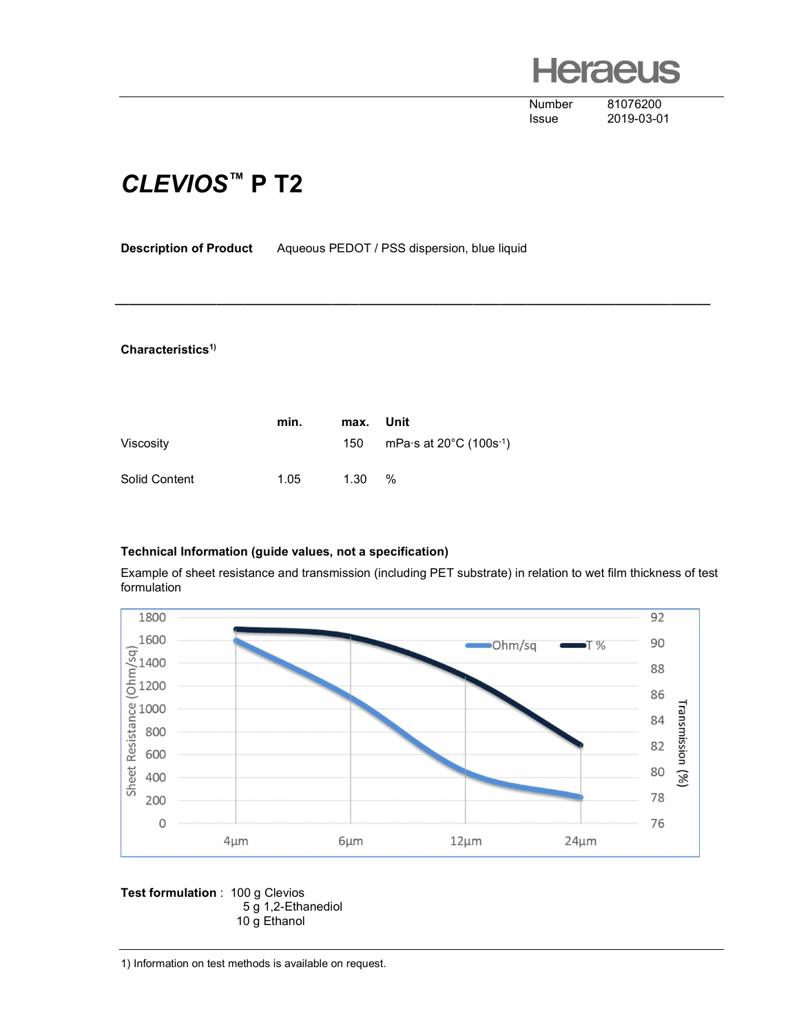**Heraeus** 

 Number 81076200 Issue 2019-03-01

## CLEVIOS™ P T2

Description of Product Aqueous PEDOT / PSS dispersion, blue liquid

Characteristics<sup>1)</sup>

|               | min. | max. Unit |                                                           |
|---------------|------|-----------|-----------------------------------------------------------|
| Viscosity     |      |           | 150 mPa $\cdot$ s at 20 $\degree$ C (100s <sup>-1</sup> ) |
| Solid Content | 1 05 | 1.30      | %                                                         |

## Technical Information (guide values, not a specification)

Example of sheet resistance and transmission (including PET substrate) in relation to wet film thickness of test formulation

\_\_\_\_\_\_\_\_\_\_\_\_\_\_\_\_\_\_\_\_\_\_\_\_\_\_\_\_\_\_\_\_\_\_\_\_\_\_\_\_\_\_\_\_\_\_\_\_\_\_\_\_\_\_\_\_\_\_\_\_\_\_\_\_\_\_\_\_\_\_\_\_\_\_\_\_\_\_\_\_\_\_\_\_\_\_\_\_



Test formulation : 100 g Clevios 5 g 1,2-Ethanediol 10 g Ethanol

1) Information on test methods is available on request.